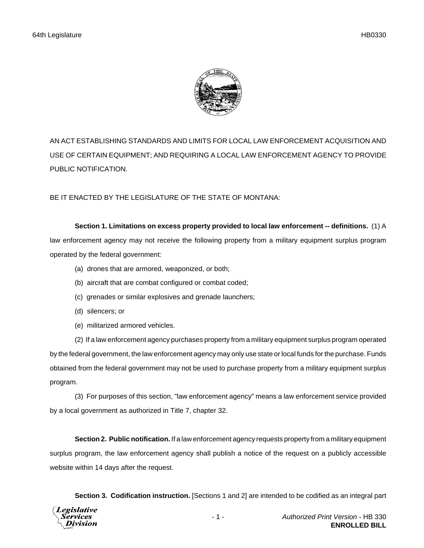

AN ACT ESTABLISHING STANDARDS AND LIMITS FOR LOCAL LAW ENFORCEMENT ACQUISITION AND USE OF CERTAIN EQUIPMENT; AND REQUIRING A LOCAL LAW ENFORCEMENT AGENCY TO PROVIDE PUBLIC NOTIFICATION.

BE IT ENACTED BY THE LEGISLATURE OF THE STATE OF MONTANA:

**Section 1. Limitations on excess property provided to local law enforcement -- definitions.** (1) A law enforcement agency may not receive the following property from a military equipment surplus program operated by the federal government:

- (a) drones that are armored, weaponized, or both;
- (b) aircraft that are combat configured or combat coded;
- (c) grenades or similar explosives and grenade launchers;
- (d) silencers; or
- (e) militarized armored vehicles.

(2) If a law enforcement agency purchases property from a military equipment surplus program operated by the federal government, the law enforcement agency may only use state or local funds for the purchase. Funds obtained from the federal government may not be used to purchase property from a military equipment surplus program.

(3) For purposes of this section, "law enforcement agency" means a law enforcement service provided by a local government as authorized in Title 7, chapter 32.

**Section 2. Public notification.** If a law enforcement agency requests property from a military equipment surplus program, the law enforcement agency shall publish a notice of the request on a publicly accessible website within 14 days after the request.

**Section 3. Codification instruction.** [Sections 1 and 2] are intended to be codified as an integral part

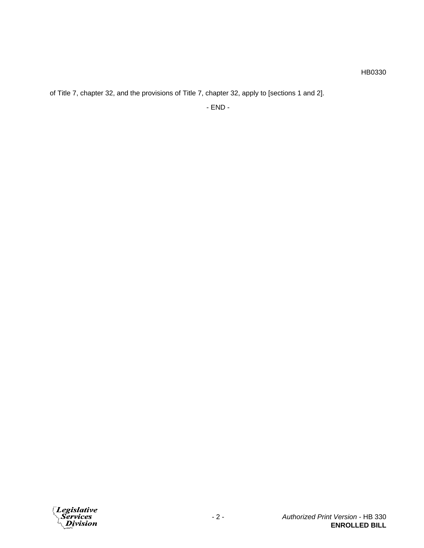HB0330

of Title 7, chapter 32, and the provisions of Title 7, chapter 32, apply to [sections 1 and 2].

- END -

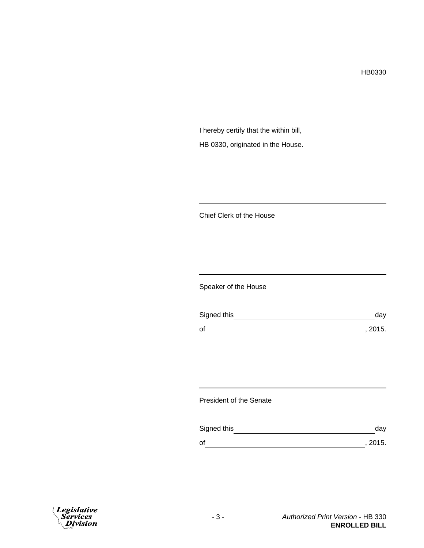HB0330

I hereby certify that the within bill, HB 0330, originated in the House.

Chief Clerk of the House

Speaker of the House

| Signed this | day     |
|-------------|---------|
| of          | , 2015. |

President of the Senate

| Signed this | dav     |
|-------------|---------|
| оf          | , 2015. |